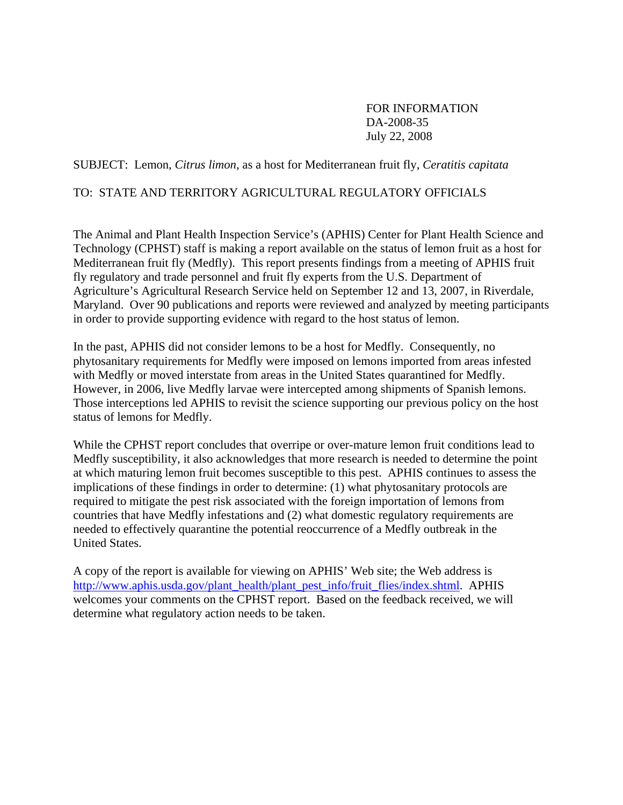FOR INFORMATION DA-2008-35 July 22, 2008

## SUBJECT: Lemon, *Citrus limon*, as a host for Mediterranean fruit fly, *Ceratitis capitata*

## TO: STATE AND TERRITORY AGRICULTURAL REGULATORY OFFICIALS

The Animal and Plant Health Inspection Service's (APHIS) Center for Plant Health Science and Technology (CPHST) staff is making a report available on the status of lemon fruit as a host for Mediterranean fruit fly (Medfly). This report presents findings from a meeting of APHIS fruit fly regulatory and trade personnel and fruit fly experts from the U.S. Department of Agriculture's Agricultural Research Service held on September 12 and 13, 2007, in Riverdale, Maryland. Over 90 publications and reports were reviewed and analyzed by meeting participants in order to provide supporting evidence with regard to the host status of lemon.

In the past, APHIS did not consider lemons to be a host for Medfly. Consequently, no phytosanitary requirements for Medfly were imposed on lemons imported from areas infested with Medfly or moved interstate from areas in the United States quarantined for Medfly. However, in 2006, live Medfly larvae were intercepted among shipments of Spanish lemons. Those interceptions led APHIS to revisit the science supporting our previous policy on the host status of lemons for Medfly.

While the CPHST report concludes that overripe or over-mature lemon fruit conditions lead to Medfly susceptibility, it also acknowledges that more research is needed to determine the point at which maturing lemon fruit becomes susceptible to this pest. APHIS continues to assess the implications of these findings in order to determine: (1) what phytosanitary protocols are required to mitigate the pest risk associated with the foreign importation of lemons from countries that have Medfly infestations and (2) what domestic regulatory requirements are needed to effectively quarantine the potential reoccurrence of a Medfly outbreak in the United States.

A copy of the report is available for viewing on APHIS' Web site; the Web address is [http://www.aphis.usda.gov/plant\\_health/plant\\_pest\\_info/fruit\\_flies/index.shtml.](http://www.aphis.usda.gov/plant_health/plant_pest_info/fruit_flies/index.shtml) APHIS welcomes your comments on the CPHST report. Based on the feedback received, we will determine what regulatory action needs to be taken.